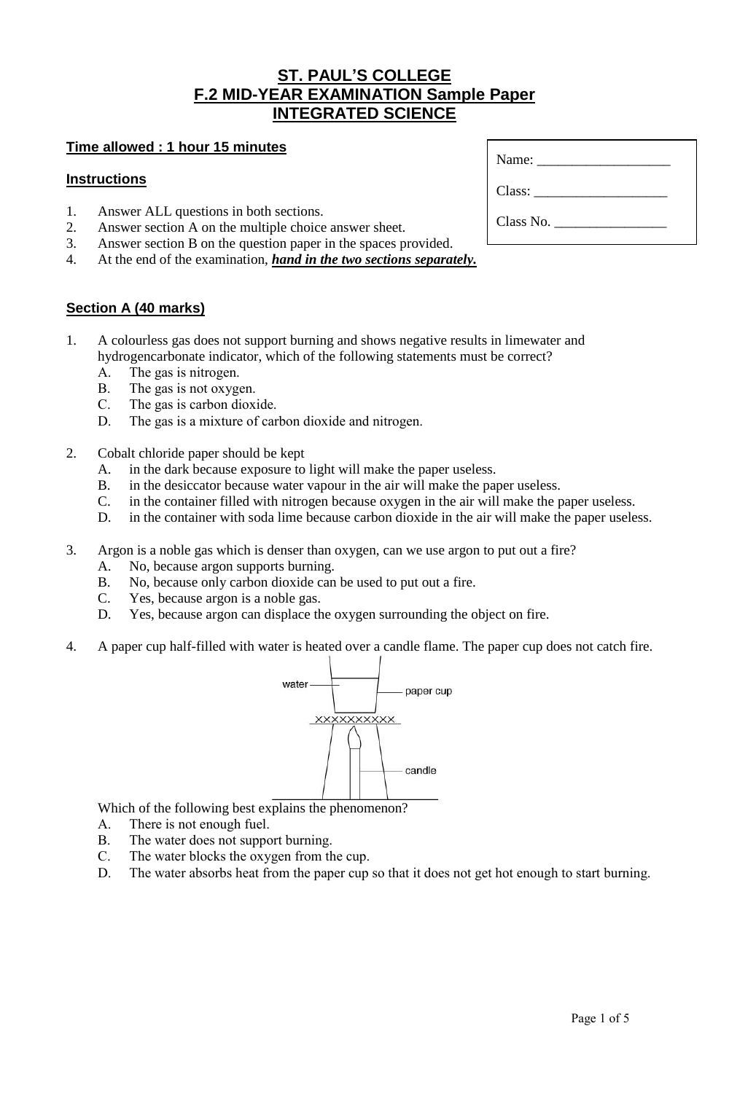## **ST. PAUL'S COLLEGE F.2 MID-YEAR EXAMINATION Sample Paper INTEGRATED SCIENCE**

### **Time allowed : 1 hour 15 minutes**

#### **Instructions**

- 1. Answer ALL questions in both sections.<br>2. Answer section A on the multiple choice
- Answer section A on the multiple choice answer sheet.
- 3. Answer section B on the question paper in the spaces provided.
- 4. At the end of the examination, *hand in the two sections separately.*

#### **Section A (40 marks)**

- 1. A colourless gas does not support burning and shows negative results in limewater and hydrogencarbonate indicator, which of the following statements must be correct?
	- A. The gas is nitrogen.
	- B. The gas is not oxygen.
	- C. The gas is carbon dioxide.
	- D. The gas is a mixture of carbon dioxide and nitrogen.
- 2. Cobalt chloride paper should be kept
	- A. in the dark because exposure to light will make the paper useless.
	- B. in the desiccator because water vapour in the air will make the paper useless.<br>C. in the container filled with nitrogen because oxygen in the air will make the p
	- in the container filled with nitrogen because oxygen in the air will make the paper useless.
	- D. in the container with soda lime because carbon dioxide in the air will make the paper useless.
- 3. Argon is a noble gas which is denser than oxygen, can we use argon to put out a fire?
	- A. No, because argon supports burning.
	- B. No, because only carbon dioxide can be used to put out a fire.
	- C. Yes, because argon is a noble gas.
	- D. Yes, because argon can displace the oxygen surrounding the object on fire.
- 4. A paper cup half-filled with water is heated over a candle flame. The paper cup does not catch fire.



Which of the following best explains the phenomenon?

- A. There is not enough fuel.
- B. The water does not support burning.
- C. The water blocks the oxygen from the cup.
- D. The water absorbs heat from the paper cup so that it does not get hot enough to start burning.

| Name: $\frac{1}{\sqrt{1-\frac{1}{2}}}\left\vert \frac{1}{\sqrt{1-\frac{1}{2}}}\right\vert$ |  |
|--------------------------------------------------------------------------------------------|--|
| Class:                                                                                     |  |
| Class No.                                                                                  |  |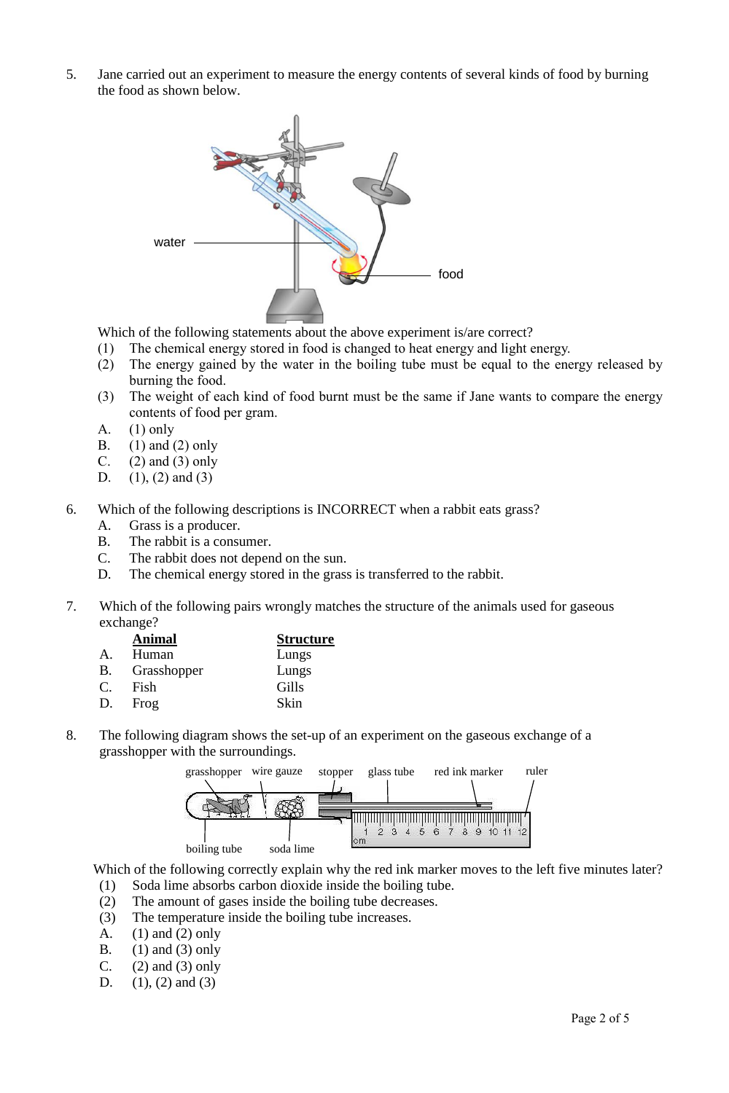5. Jane carried out an experiment to measure the energy contents of several kinds of food by burning the food as shown below.



Which of the following statements about the above experiment is/are correct?

- (1) The chemical energy stored in food is changed to heat energy and light energy.
- (2) The energy gained by the water in the boiling tube must be equal to the energy released by burning the food.
- (3) The weight of each kind of food burnt must be the same if Jane wants to compare the energy contents of food per gram.
- A.  $(1)$  only
- B. (1) and (2) only
- C.  $(2)$  and  $(3)$  only
- D.  $(1), (2)$  and  $(3)$
- 6. Which of the following descriptions is INCORRECT when a rabbit eats grass?
	- A. Grass is a producer.
	- B. The rabbit is a consumer.
	- C. The rabbit does not depend on the sun.
	- D. The chemical energy stored in the grass is transferred to the rabbit.
- 7. Which of the following pairs wrongly matches the structure of the animals used for gaseous exchange?

| <b>Animal</b> | <b>Structure</b> |
|---------------|------------------|
| Human         | Lungs            |
|               | Lungs            |
| Fish          | Gills            |
| Frog          | Skin             |
|               | Grasshopper      |

8. The following diagram shows the set-up of an experiment on the gaseous exchange of a grasshopper with the surroundings.



Which of the following correctly explain why the red ink marker moves to the left five minutes later? (1) Soda lime absorbs carbon dioxide inside the boiling tube.

- (2) The amount of gases inside the boiling tube decreases.
- (3) The temperature inside the boiling tube increases.
- A. (1) and (2) only
- B. (1) and (3) only
- C.  $(2)$  and  $(3)$  only
- D.  $(1)$ ,  $(2)$  and  $(3)$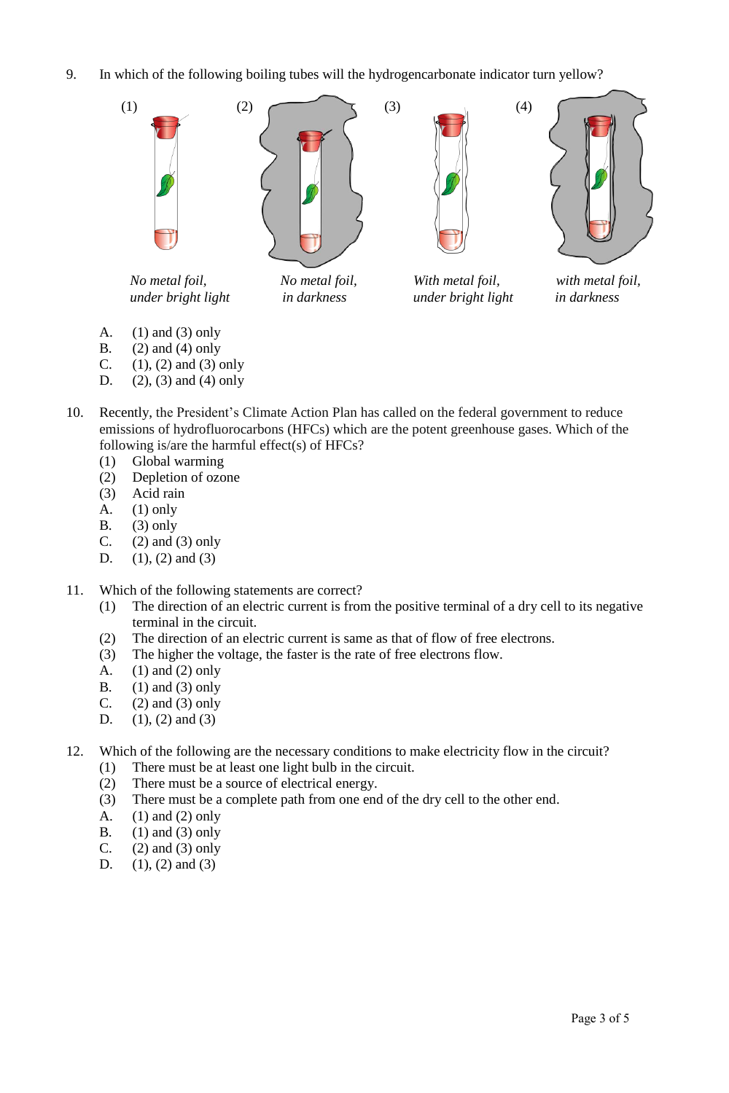9. In which of the following boiling tubes will the hydrogencarbonate indicator turn yellow?



- A. (1) and (3) only
- B.  $(2)$  and  $(4)$  only
- C.  $(1)$ ,  $(2)$  and  $(3)$  only
- D. (2), (3) and (4) only
- 10. Recently, the President's Climate Action Plan has called on the federal government to reduce emissions of hydrofluorocarbons (HFCs) which are the potent greenhouse gases. Which of the following is/are the harmful effect(s) of HFCs?
	- (1) Global warming
	- (2) Depletion of ozone
	- (3) Acid rain
	- A.  $(1)$  only
	- B.  $(3)$  only
	- C.  $(2)$  and  $(3)$  only
	- D.  $(1)$ ,  $(2)$  and  $(3)$
- 11. Which of the following statements are correct?
	- (1) The direction of an electric current is from the positive terminal of a dry cell to its negative terminal in the circuit.
	- (2) The direction of an electric current is same as that of flow of free electrons.
	- (3) The higher the voltage, the faster is the rate of free electrons flow.
	- A. (1) and (2) only
	- B.  $(1)$  and  $(3)$  only
	- C.  $(2)$  and  $(3)$  only
	- D.  $(1)$ ,  $(2)$  and  $(3)$
- 12. Which of the following are the necessary conditions to make electricity flow in the circuit?
	- (1) There must be at least one light bulb in the circuit.
	- (2) There must be a source of electrical energy.
	- (3) There must be a complete path from one end of the dry cell to the other end.
	- A. (1) and (2) only
	- B.  $(1)$  and  $(3)$  only
	- C.  $(2)$  and  $(3)$  only
	- D.  $(1), (2)$  and  $(3)$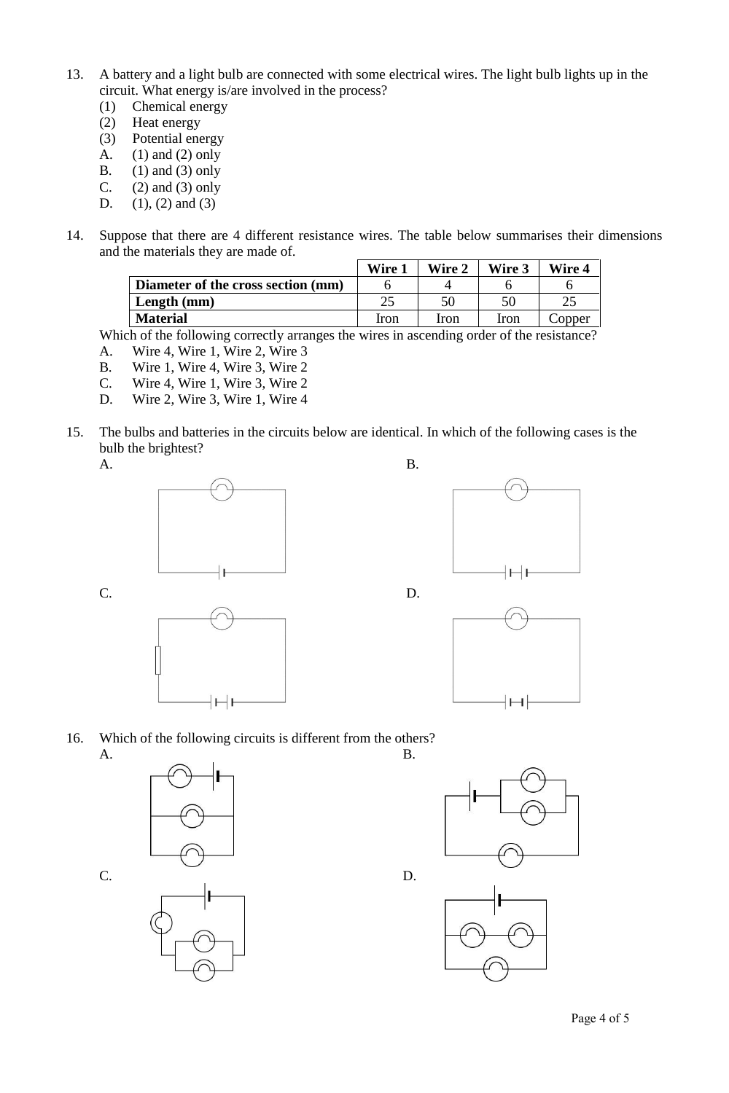- 13. A battery and a light bulb are connected with some electrical wires. The light bulb lights up in the circuit. What energy is/are involved in the process?
	- (1) Chemical energy
	- (2) Heat energy
	- (3) Potential energy
	- A. (1) and (2) only
	- B. (1) and (3) only<br>C. (2) and (3) only
	- $(2)$  and  $(3)$  only
	- D.  $(1), (2)$  and  $(3)$
- 14. Suppose that there are 4 different resistance wires. The table below summarises their dimensions and the materials they are made of.

|                                    | Wire 1 | <b>Wire 2</b> | Wire 3 | Wire 4 |
|------------------------------------|--------|---------------|--------|--------|
| Diameter of the cross section (mm) |        |               |        |        |
| Length $(mm)$                      |        | 50            |        |        |
| <b>Material</b>                    | Iron   | Iron          | Iron   | Copper |

Which of the following correctly arranges the wires in ascending order of the resistance?

- A. Wire 4, Wire 1, Wire 2, Wire 3
- B. Wire 1, Wire 4, Wire 3, Wire 2
- C. Wire 4, Wire 1, Wire 3, Wire 2
- D. Wire 2, Wire 3, Wire 1, Wire 4
- 15. The bulbs and batteries in the circuits below are identical. In which of the following cases is the bulb the brightest?
	-











16. Which of the following circuits is different from the others? A. B.